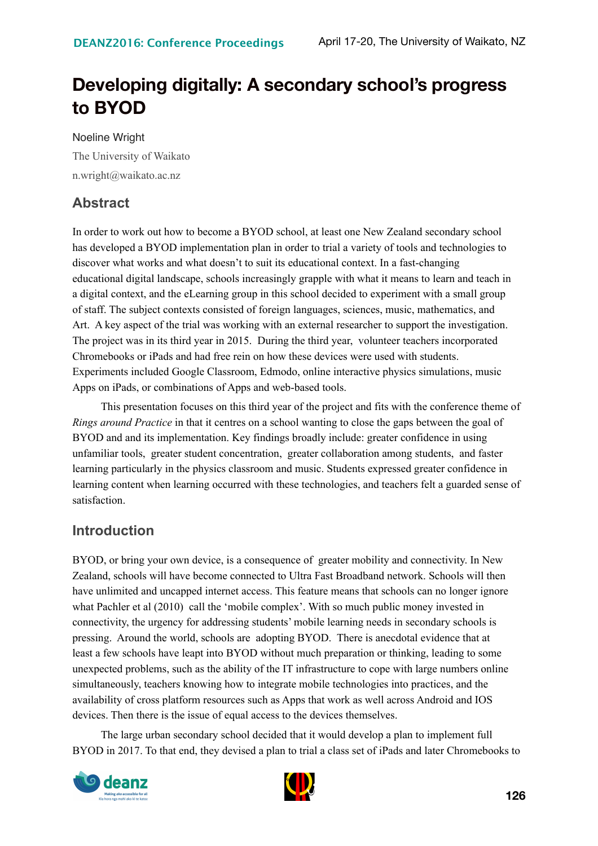# **Developing digitally: A secondary school's progress to BYOD**

Noeline Wright The University of Waikato n.wright@waikato.ac.nz

## **Abstract**

In order to work out how to become a BYOD school, at least one New Zealand secondary school has developed a BYOD implementation plan in order to trial a variety of tools and technologies to discover what works and what doesn't to suit its educational context. In a fast-changing educational digital landscape, schools increasingly grapple with what it means to learn and teach in a digital context, and the eLearning group in this school decided to experiment with a small group of staff. The subject contexts consisted of foreign languages, sciences, music, mathematics, and Art. A key aspect of the trial was working with an external researcher to support the investigation. The project was in its third year in 2015. During the third year, volunteer teachers incorporated Chromebooks or iPads and had free rein on how these devices were used with students. Experiments included Google Classroom, Edmodo, online interactive physics simulations, music Apps on iPads, or combinations of Apps and web-based tools.

This presentation focuses on this third year of the project and fits with the conference theme of *Rings around Practice* in that it centres on a school wanting to close the gaps between the goal of BYOD and and its implementation. Key findings broadly include: greater confidence in using unfamiliar tools, greater student concentration, greater collaboration among students, and faster learning particularly in the physics classroom and music. Students expressed greater confidence in learning content when learning occurred with these technologies, and teachers felt a guarded sense of satisfaction.

#### **Introduction**

BYOD, or bring your own device, is a consequence of greater mobility and connectivity. In New Zealand, schools will have become connected to Ultra Fast Broadband network. Schools will then have unlimited and uncapped internet access. This feature means that schools can no longer ignore what Pachler et al (2010) call the 'mobile complex'. With so much public money invested in connectivity, the urgency for addressing students' mobile learning needs in secondary schools is pressing. Around the world, schools are adopting BYOD. There is anecdotal evidence that at least a few schools have leapt into BYOD without much preparation or thinking, leading to some unexpected problems, such as the ability of the IT infrastructure to cope with large numbers online simultaneously, teachers knowing how to integrate mobile technologies into practices, and the availability of cross platform resources such as Apps that work as well across Android and IOS devices. Then there is the issue of equal access to the devices themselves.

The large urban secondary school decided that it would develop a plan to implement full BYOD in 2017. To that end, they devised a plan to trial a class set of iPads and later Chromebooks to



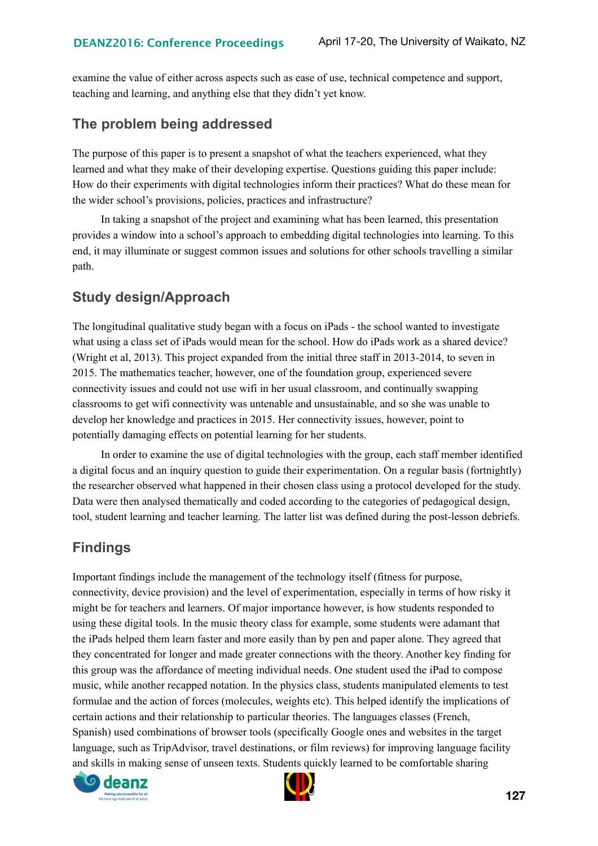examine the value of either across aspects such as ease of use, technical competence and support, teaching and learning, and anything else that they didn't yet know.

#### **The problem being addressed**

The purpose of this paper is to present a snapshot of what the teachers experienced, what they learned and what they make of their developing expertise. Questions guiding this paper include: How do their experiments with digital technologies inform their practices? What do these mean for the wider school's provisions, policies, practices and infrastructure?

In taking a snapshot of the project and examining what has been learned, this presentation provides a window into a school's approach to embedding digital technologies into learning. To this end, it may illuminate or suggest common issues and solutions for other schools travelling a similar path.

#### **Study design/Approach**

The longitudinal qualitative study began with a focus on iPads - the school wanted to investigate what using a class set of iPads would mean for the school. How do iPads work as a shared device? (Wright et al, 2013). This project expanded from the initial three staff in 2013-2014, to seven in 2015. The mathematics teacher, however, one of the foundation group, experienced severe connectivity issues and could not use wifi in her usual classroom, and continually swapping classrooms to get wifi connectivity was untenable and unsustainable, and so she was unable to develop her knowledge and practices in 2015. Her connectivity issues, however, point to potentially damaging effects on potential learning for her students.

In order to examine the use of digital technologies with the group, each staff member identified a digital focus and an inquiry question to guide their experimentation. On a regular basis (fortnightly) the researcher observed what happened in their chosen class using a protocol developed for the study. Data were then analysed thematically and coded according to the categories of pedagogical design, tool, student learning and teacher learning. The latter list was defined during the post-lesson debriefs.

## **Findings**

Important findings include the management of the technology itself (fitness for purpose, connectivity, device provision) and the level of experimentation, especially in terms of how risky it might be for teachers and learners. Of major importance however, is how students responded to using these digital tools. In the music theory class for example, some students were adamant that the iPads helped them learn faster and more easily than by pen and paper alone. They agreed that they concentrated for longer and made greater connections with the theory. Another key finding for this group was the affordance of meeting individual needs. One student used the iPad to compose music, while another recapped notation. In the physics class, students manipulated elements to test formulae and the action of forces (molecules, weights etc). This helped identify the implications of certain actions and their relationship to particular theories. The languages classes (French, Spanish) used combinations of browser tools (specifically Google ones and websites in the target language, such as TripAdvisor, travel destinations, or film reviews) for improving language facility and skills in making sense of unseen texts. Students quickly learned to be comfortable sharing



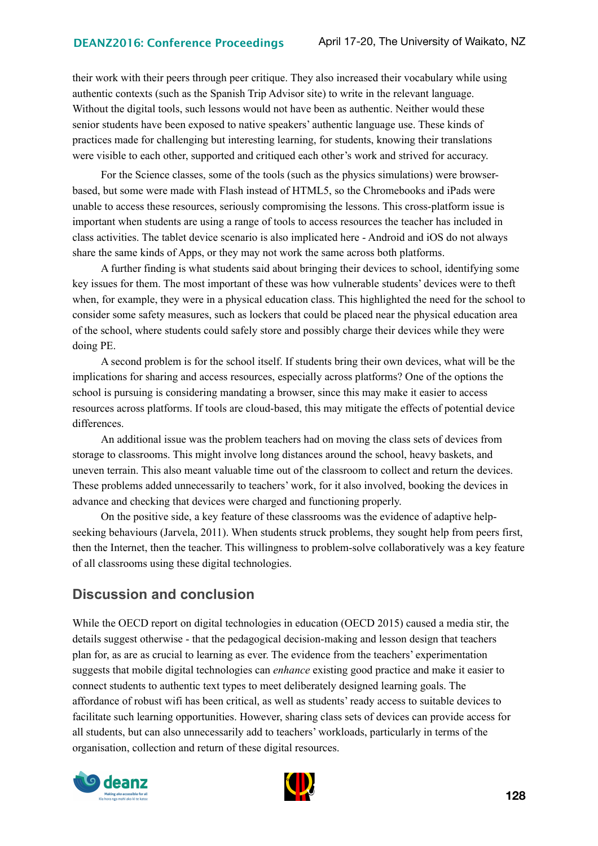their work with their peers through peer critique. They also increased their vocabulary while using authentic contexts (such as the Spanish Trip Advisor site) to write in the relevant language. Without the digital tools, such lessons would not have been as authentic. Neither would these senior students have been exposed to native speakers' authentic language use. These kinds of practices made for challenging but interesting learning, for students, knowing their translations were visible to each other, supported and critiqued each other's work and strived for accuracy.

For the Science classes, some of the tools (such as the physics simulations) were browserbased, but some were made with Flash instead of HTML5, so the Chromebooks and iPads were unable to access these resources, seriously compromising the lessons. This cross-platform issue is important when students are using a range of tools to access resources the teacher has included in class activities. The tablet device scenario is also implicated here - Android and iOS do not always share the same kinds of Apps, or they may not work the same across both platforms.

A further finding is what students said about bringing their devices to school, identifying some key issues for them. The most important of these was how vulnerable students' devices were to theft when, for example, they were in a physical education class. This highlighted the need for the school to consider some safety measures, such as lockers that could be placed near the physical education area of the school, where students could safely store and possibly charge their devices while they were doing PE.

A second problem is for the school itself. If students bring their own devices, what will be the implications for sharing and access resources, especially across platforms? One of the options the school is pursuing is considering mandating a browser, since this may make it easier to access resources across platforms. If tools are cloud-based, this may mitigate the effects of potential device differences.

An additional issue was the problem teachers had on moving the class sets of devices from storage to classrooms. This might involve long distances around the school, heavy baskets, and uneven terrain. This also meant valuable time out of the classroom to collect and return the devices. These problems added unnecessarily to teachers' work, for it also involved, booking the devices in advance and checking that devices were charged and functioning properly.

On the positive side, a key feature of these classrooms was the evidence of adaptive helpseeking behaviours (Jarvela, 2011). When students struck problems, they sought help from peers first, then the Internet, then the teacher. This willingness to problem-solve collaboratively was a key feature of all classrooms using these digital technologies.

#### **Discussion and conclusion**

While the OECD report on digital technologies in education (OECD 2015) caused a media stir, the details suggest otherwise - that the pedagogical decision-making and lesson design that teachers plan for, as are as crucial to learning as ever. The evidence from the teachers' experimentation suggests that mobile digital technologies can *enhance* existing good practice and make it easier to connect students to authentic text types to meet deliberately designed learning goals. The affordance of robust wifi has been critical, as well as students' ready access to suitable devices to facilitate such learning opportunities. However, sharing class sets of devices can provide access for all students, but can also unnecessarily add to teachers' workloads, particularly in terms of the organisation, collection and return of these digital resources.